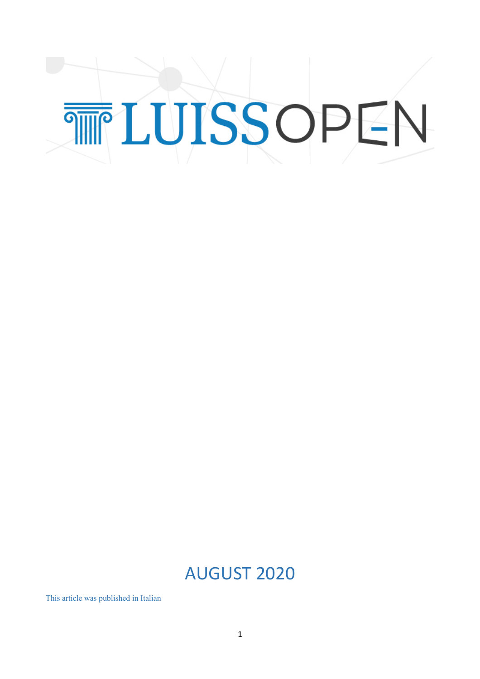## TTLUISSOPEN

## AUGUST 2020

This article was published in Italian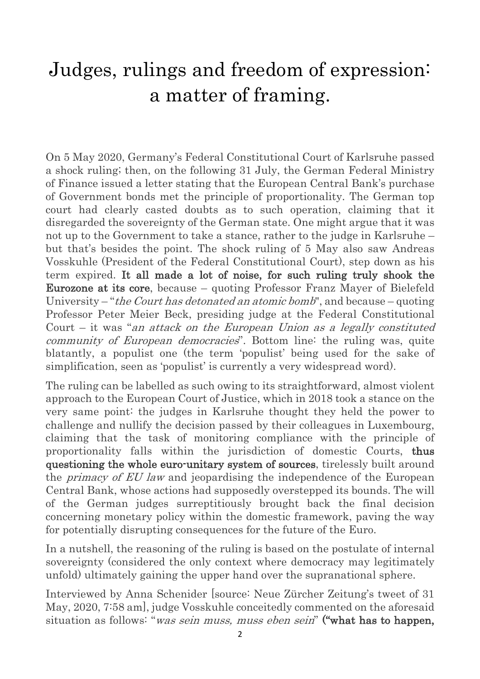## Judges, rulings and freedom of expression: a matter of framing.

On 5 May 2020, Germany's Federal Constitutional Court of Karlsruhe passed a shock ruling; then, on the following 31 July, the German Federal Ministry of Finance issued a letter stating that the European Central Bank's purchase of Government bonds met the principle of proportionality. The German top court had clearly casted doubts as to such operation, claiming that it disregarded the sovereignty of the German state. One might argue that it was not up to the Government to take a stance, rather to the judge in Karlsruhe – but that's besides the point. The shock ruling of 5 May also saw Andreas Vosskuhle (President of the Federal Constitutional Court), step down as his term expired. It all made a lot of noise, for such ruling truly shook the Eurozone at its core, because – quoting Professor Franz Mayer of Bielefeld University – "*the Court has detonated an atomic bomb*", and because – quoting Professor Peter Meier Beck, presiding judge at the Federal Constitutional Court – it was "an attack on the European Union as a legally constituted community of European democracies". Bottom line: the ruling was, quite blatantly, a populist one (the term 'populist' being used for the sake of simplification, seen as 'populist' is currently a very widespread word).

The ruling can be labelled as such owing to its straightforward, almost violent approach to the European Court of Justice, which in 2018 took a stance on the very same point: the judges in Karlsruhe thought they held the power to challenge and nullify the decision passed by their colleagues in Luxembourg, claiming that the task of monitoring compliance with the principle of proportionality falls within the jurisdiction of domestic Courts, thus questioning the whole euro-unitary system of sources, tirelessly built around the *primacy of EU law* and jeopardising the independence of the European Central Bank, whose actions had supposedly overstepped its bounds. The will of the German judges surreptitiously brought back the final decision concerning monetary policy within the domestic framework, paving the way for potentially disrupting consequences for the future of the Euro.

In a nutshell, the reasoning of the ruling is based on the postulate of internal sovereignty (considered the only context where democracy may legitimately unfold) ultimately gaining the upper hand over the supranational sphere.

Interviewed by Anna Schenider [source: Neue Zürcher Zeitung's tweet of 31 May, 2020, 7:58 am], judge Vosskuhle conceitedly commented on the aforesaid situation as follows: "*was sein muss, muss eben sein*" ("what has to happen,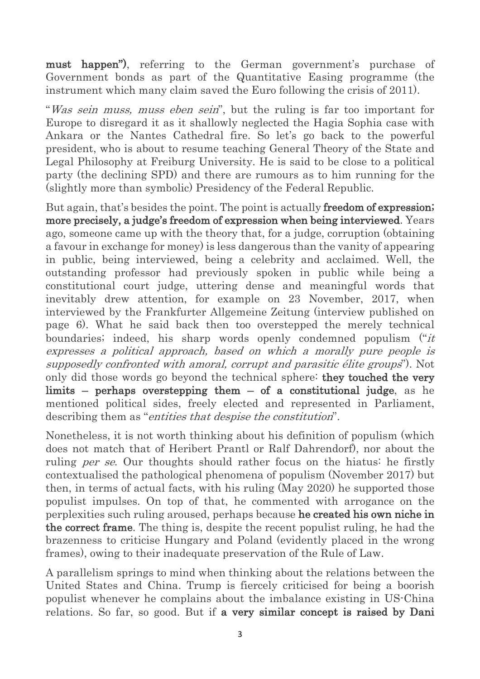must happen"), referring to the German government's purchase of Government bonds as part of the Quantitative Easing programme (the instrument which many claim saved the Euro following the crisis of 2011).

"Was sein muss, muss eben sein", but the ruling is far too important for Europe to disregard it as it shallowly neglected the Hagia Sophia case with Ankara or the Nantes Cathedral fire. So let's go back to the powerful president, who is about to resume teaching General Theory of the State and Legal Philosophy at Freiburg University. He is said to be close to a political party (the declining SPD) and there are rumours as to him running for the (slightly more than symbolic) Presidency of the Federal Republic.

But again, that's besides the point. The point is actually freedom of expression; more precisely, a judge's freedom of expression when being interviewed. Years ago, someone came up with the theory that, for a judge, corruption (obtaining a favour in exchange for money) is less dangerous than the vanity of appearing in public, being interviewed, being a celebrity and acclaimed. Well, the outstanding professor had previously spoken in public while being a constitutional court judge, uttering dense and meaningful words that inevitably drew attention, for example on 23 November, 2017, when interviewed by the Frankfurter Allgemeine Zeitung (interview published on page 6). What he said back then too overstepped the merely technical boundaries; indeed, his sharp words openly condemned populism ("it expresses a political approach, based on which a morally pure people is supposedly confronted with amoral, corrupt and parasitic élite groups"). Not only did those words go beyond the technical sphere: they touched the very limits – perhaps overstepping them – of a constitutional judge, as he mentioned political sides, freely elected and represented in Parliament, describing them as "entities that despise the constitution".

Nonetheless, it is not worth thinking about his definition of populism (which does not match that of Heribert Prantl or Ralf Dahrendorf), nor about the ruling *per se*. Our thoughts should rather focus on the hiatus: he firstly contextualised the pathological phenomena of populism (November 2017) but then, in terms of actual facts, with his ruling (May 2020) he supported those populist impulses. On top of that, he commented with arrogance on the perplexities such ruling aroused, perhaps because he created his own niche in the correct frame. The thing is, despite the recent populist ruling, he had the brazenness to criticise Hungary and Poland (evidently placed in the wrong frames), owing to their inadequate preservation of the Rule of Law.

A parallelism springs to mind when thinking about the relations between the United States and China. Trump is fiercely criticised for being a boorish populist whenever he complains about the imbalance existing in US-China relations. So far, so good. But if a very similar concept is raised by Dani